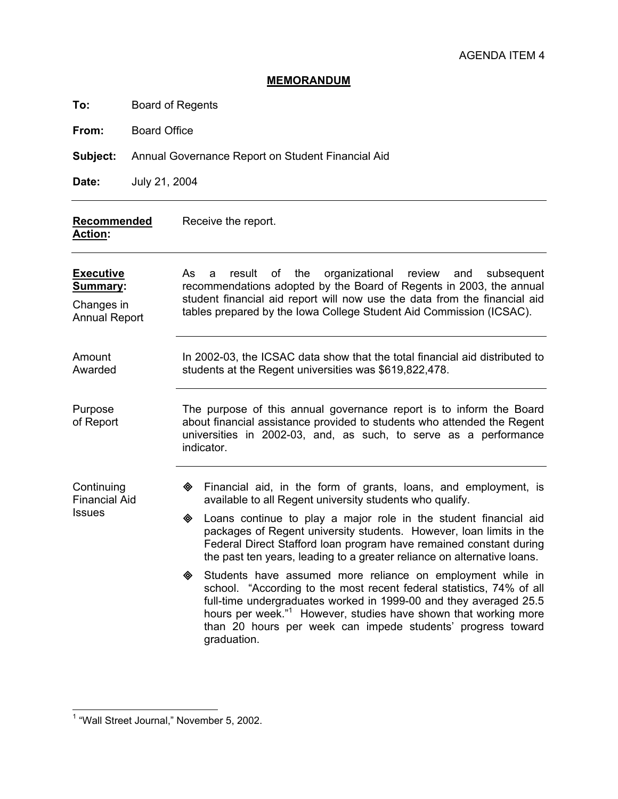# **MEMORANDUM**

**To:** Board of Regents

**From:** Board Office

**Subject:** Annual Governance Report on Student Financial Aid

**Date:** July 21, 2004

| Recommended<br>Action:                                                    | Receive the report.                                                                                                                                                                                                                                                                                                                                                                                                                                                                                                                                                          |  |  |  |
|---------------------------------------------------------------------------|------------------------------------------------------------------------------------------------------------------------------------------------------------------------------------------------------------------------------------------------------------------------------------------------------------------------------------------------------------------------------------------------------------------------------------------------------------------------------------------------------------------------------------------------------------------------------|--|--|--|
| <b>Executive</b><br><b>Summary:</b><br>Changes in<br><b>Annual Report</b> | the<br>organizational review<br>As.<br>result<br>οf<br>and<br>subsequent<br>a<br>recommendations adopted by the Board of Regents in 2003, the annual<br>student financial aid report will now use the data from the financial aid<br>tables prepared by the Iowa College Student Aid Commission (ICSAC).                                                                                                                                                                                                                                                                     |  |  |  |
| Amount<br>Awarded                                                         | In 2002-03, the ICSAC data show that the total financial aid distributed to<br>students at the Regent universities was \$619,822,478.                                                                                                                                                                                                                                                                                                                                                                                                                                        |  |  |  |
| Purpose<br>of Report                                                      | The purpose of this annual governance report is to inform the Board<br>about financial assistance provided to students who attended the Regent<br>universities in 2002-03, and, as such, to serve as a performance<br>indicator.                                                                                                                                                                                                                                                                                                                                             |  |  |  |
| Continuing<br><b>Financial Aid</b><br><b>Issues</b>                       | Financial aid, in the form of grants, loans, and employment, is<br>◈<br>available to all Regent university students who qualify.<br>Loans continue to play a major role in the student financial aid<br>◈<br>packages of Regent university students. However, loan limits in the<br>Federal Direct Stafford loan program have remained constant during<br>the past ten years, leading to a greater reliance on alternative loans.<br>Students have assumed more reliance on employment while in<br>◈<br>school. "According to the most recent federal statistics, 74% of all |  |  |  |
|                                                                           | full-time undergraduates worked in 1999-00 and they averaged 25.5<br>hours per week." <sup>1</sup> However, studies have shown that working more<br>than 20 hours per week can impede students' progress toward<br>graduation.                                                                                                                                                                                                                                                                                                                                               |  |  |  |

 1 "Wall Street Journal," November 5, 2002.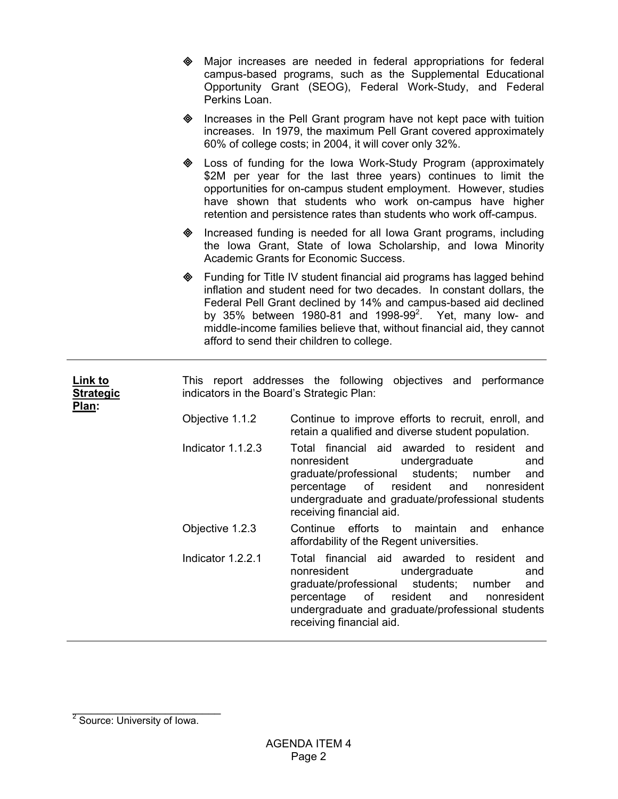- Major increases are needed in federal appropriations for federal campus-based programs, such as the Supplemental Educational Opportunity Grant (SEOG), Federal Work-Study, and Federal Perkins Loan.
- $\Diamond$  Increases in the Pell Grant program have not kept pace with tuition increases. In 1979, the maximum Pell Grant covered approximately 60% of college costs; in 2004, it will cover only 32%.
- Loss of funding for the Iowa Work-Study Program (approximately \$2M per year for the last three years) continues to limit the opportunities for on-campus student employment. However, studies have shown that students who work on-campus have higher retention and persistence rates than students who work off-campus.
- Increased funding is needed for all Iowa Grant programs, including the Iowa Grant, State of Iowa Scholarship, and Iowa Minority Academic Grants for Economic Success.
- Funding for Title IV student financial aid programs has lagged behind inflation and student need for two decades. In constant dollars, the Federal Pell Grant declined by 14% and campus-based aid declined by 35% between 1980-81 and 1998-99 $^2$ . Yet, many low- and middle-income families believe that, without financial aid, they cannot afford to send their children to college.

| <u>Link to</u><br><b>Strategic</b><br>Plan: | This report addresses the following objectives and performance<br>indicators in the Board's Strategic Plan: |                                                                                                                                                                                                                                                                           |  |  |  |
|---------------------------------------------|-------------------------------------------------------------------------------------------------------------|---------------------------------------------------------------------------------------------------------------------------------------------------------------------------------------------------------------------------------------------------------------------------|--|--|--|
|                                             | Objective 1.1.2                                                                                             | Continue to improve efforts to recruit, enroll, and<br>retain a qualified and diverse student population.                                                                                                                                                                 |  |  |  |
|                                             | Indicator 1.1.2.3                                                                                           | Total financial aid awarded to resident<br>and<br>nonresident<br>undergraduate<br>and<br>graduate/professional students; number<br>and<br>percentage of resident and<br>nonresident<br>undergraduate and graduate/professional students<br>receiving financial aid.       |  |  |  |
|                                             | Objective 1.2.3                                                                                             | Continue efforts to maintain and<br>enhance<br>affordability of the Regent universities.                                                                                                                                                                                  |  |  |  |
|                                             | Indicator 1.2.2.1                                                                                           | Total financial aid awarded to resident<br>and<br>nonresident<br>undergraduate<br>and<br>graduate/professional<br>students; number<br>and<br>resident and<br>percentage of<br>nonresident<br>undergraduate and graduate/professional students<br>receiving financial aid. |  |  |  |

2<br>
<sup>2</sup> Source: University of Iowa.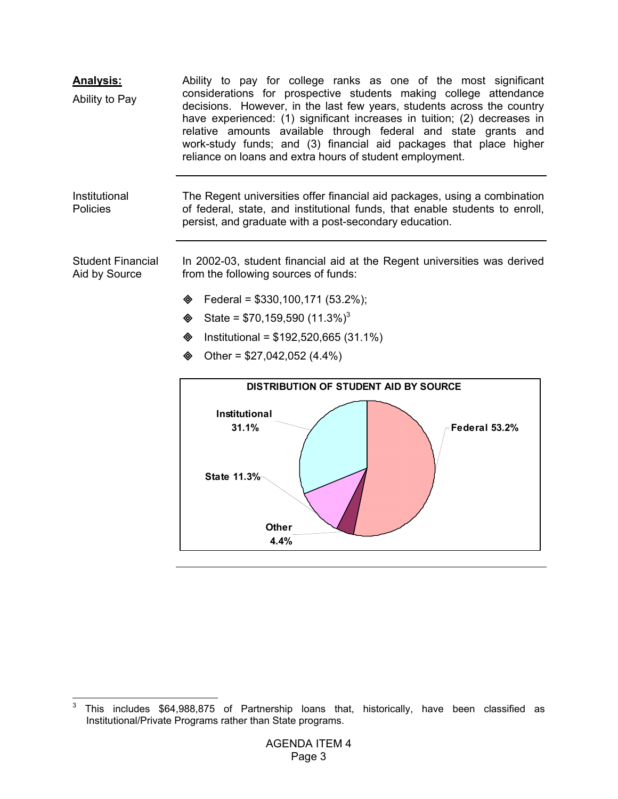| <b>Analysis:</b><br>Ability to Pay        | Ability to pay for college ranks as one of the most significant<br>considerations for prospective students making college attendance<br>decisions. However, in the last few years, students across the country<br>have experienced: (1) significant increases in tuition; (2) decreases in<br>relative amounts available through federal and state grants and<br>work-study funds; and (3) financial aid packages that place higher<br>reliance on loans and extra hours of student employment. |  |  |
|-------------------------------------------|-------------------------------------------------------------------------------------------------------------------------------------------------------------------------------------------------------------------------------------------------------------------------------------------------------------------------------------------------------------------------------------------------------------------------------------------------------------------------------------------------|--|--|
| Institutional<br><b>Policies</b>          | The Regent universities offer financial aid packages, using a combination<br>of federal, state, and institutional funds, that enable students to enroll,<br>persist, and graduate with a post-secondary education.                                                                                                                                                                                                                                                                              |  |  |
| <b>Student Financial</b><br>Aid by Source | In 2002-03, student financial aid at the Regent universities was derived<br>from the following sources of funds:                                                                                                                                                                                                                                                                                                                                                                                |  |  |
|                                           | Federal = $$330,100,171$ (53.2%);<br>◈                                                                                                                                                                                                                                                                                                                                                                                                                                                          |  |  |
|                                           | State = $$70,159,590 (11.3\%)$ <sup>3</sup><br>◈                                                                                                                                                                                                                                                                                                                                                                                                                                                |  |  |
|                                           | Institutional = $$192,520,665$ (31.1%)<br>◈                                                                                                                                                                                                                                                                                                                                                                                                                                                     |  |  |
|                                           | Other = $$27,042,052$ (4.4%)<br>◈                                                                                                                                                                                                                                                                                                                                                                                                                                                               |  |  |
|                                           | <b>DISTRIBUTION OF STUDENT AID BY SOURCE</b>                                                                                                                                                                                                                                                                                                                                                                                                                                                    |  |  |
|                                           | Institutional<br>31.1%<br>Federal 53.2%                                                                                                                                                                                                                                                                                                                                                                                                                                                         |  |  |
|                                           | State 11.3%                                                                                                                                                                                                                                                                                                                                                                                                                                                                                     |  |  |

**Other 4.4%**

<sup>-&</sup>lt;br>3 This includes \$64,988,875 of Partnership loans that, historically, have been classified as Institutional/Private Programs rather than State programs.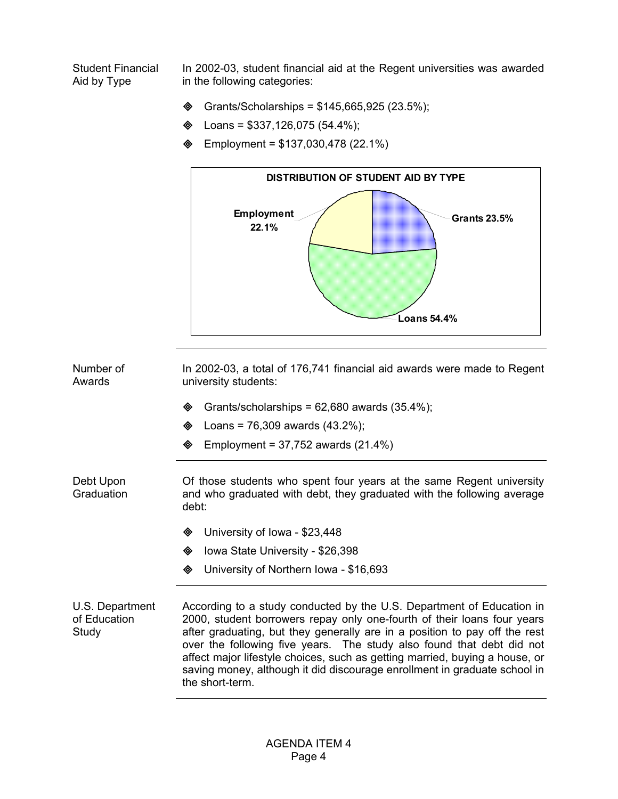Student Financial Aid by Type

In 2002-03, student financial aid at the Regent universities was awarded in the following categories:

- $\textcircled{}$  Grants/Scholarships = \$145,665,925 (23.5%);
- Loans = \$337,126,075 (54.4%);
- Employment = \$137,030,478 (22.1%)



U.S. Department of Education Study According to a study conducted by the U.S. Department of Education in 2000, student borrowers repay only one-fourth of their loans four years after graduating, but they generally are in a position to pay off the rest over the following five years. The study also found that debt did not affect major lifestyle choices, such as getting married, buying a house, or saving money, although it did discourage enrollment in graduate school in the short-term.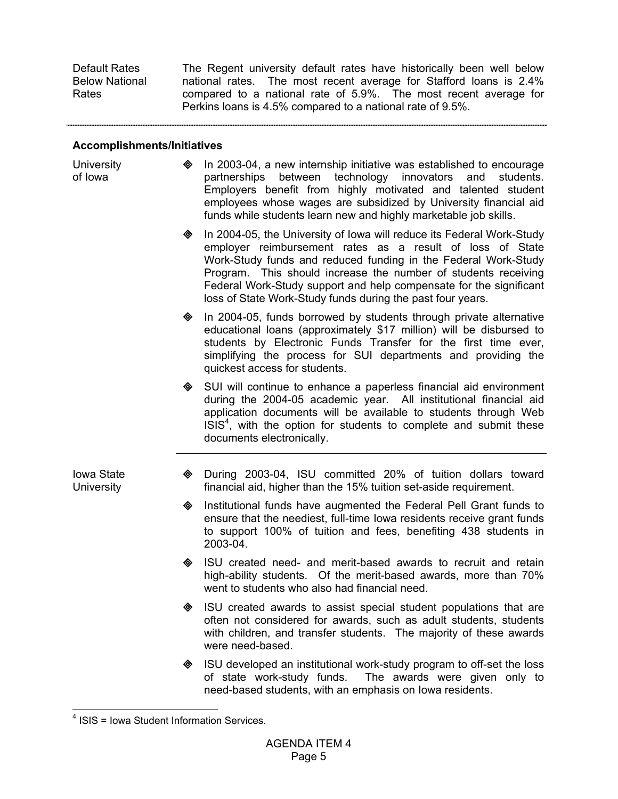Default Rates Below National Rates

The Regent university default rates have historically been well below national rates. The most recent average for Stafford loans is 2.4% compared to a national rate of 5.9%. The most recent average for Perkins loans is 4.5% compared to a national rate of 9.5%.

#### **Accomplishments/Initiatives**

**University** of Iowa

- $\bullet$  In 2003-04, a new internship initiative was established to encourage partnerships between technology innovators and students. Employers benefit from highly motivated and talented student employees whose wages are subsidized by University financial aid funds while students learn new and highly marketable job skills.
- In 2004-05, the University of Iowa will reduce its Federal Work-Study employer reimbursement rates as a result of loss of State Work-Study funds and reduced funding in the Federal Work-Study Program. This should increase the number of students receiving Federal Work-Study support and help compensate for the significant loss of State Work-Study funds during the past four years.
- In 2004-05, funds borrowed by students through private alternative educational loans (approximately \$17 million) will be disbursed to students by Electronic Funds Transfer for the first time ever, simplifying the process for SUI departments and providing the quickest access for students.
- SUI will continue to enhance a paperless financial aid environment during the 2004-05 academic year. All institutional financial aid application documents will be available to students through Web  $ISS<sup>4</sup>$ , with the option for students to complete and submit these documents electronically.
- Iowa State **University**

-

- During 2003-04, ISU committed 20% of tuition dollars toward financial aid, higher than the 15% tuition set-aside requirement.
- Institutional funds have augmented the Federal Pell Grant funds to ensure that the neediest, full-time Iowa residents receive grant funds to support 100% of tuition and fees, benefiting 438 students in 2003-04.
- ISU created need- and merit-based awards to recruit and retain high-ability students. Of the merit-based awards, more than 70% went to students who also had financial need.
- ISU created awards to assist special student populations that are often not considered for awards, such as adult students, students with children, and transfer students. The majority of these awards were need-based.
- ISU developed an institutional work-study program to off-set the loss of state work-study funds. The awards were given only to need-based students, with an emphasis on Iowa residents.

<sup>4</sup> ISIS = Iowa Student Information Services.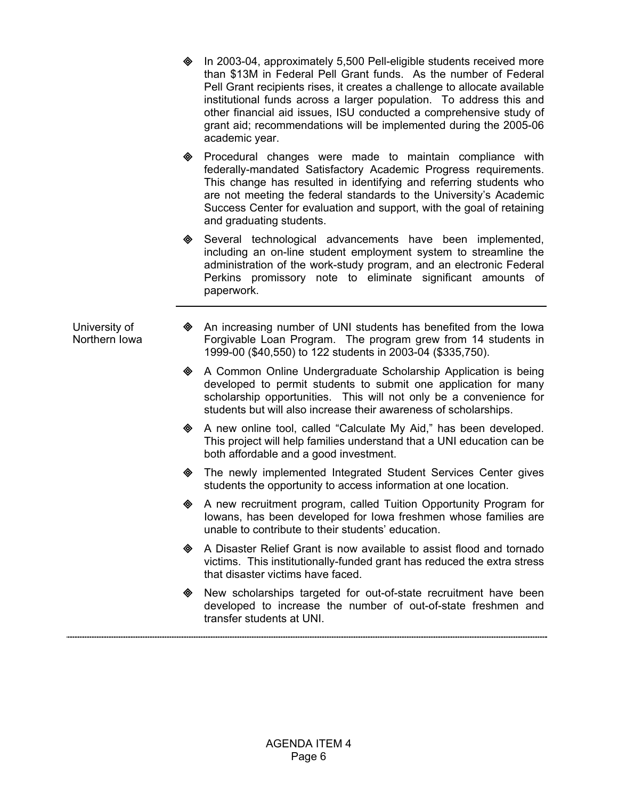- In 2003-04, approximately 5,500 Pell-eligible students received more than \$13M in Federal Pell Grant funds. As the number of Federal Pell Grant recipients rises, it creates a challenge to allocate available institutional funds across a larger population. To address this and other financial aid issues, ISU conducted a comprehensive study of grant aid; recommendations will be implemented during the 2005-06 academic year.
- Procedural changes were made to maintain compliance with federally-mandated Satisfactory Academic Progress requirements. This change has resulted in identifying and referring students who are not meeting the federal standards to the University's Academic Success Center for evaluation and support, with the goal of retaining and graduating students.
- Several technological advancements have been implemented, including an on-line student employment system to streamline the administration of the work-study program, and an electronic Federal Perkins promissory note to eliminate significant amounts of paperwork.
- University of Northern Iowa An increasing number of UNI students has benefited from the Iowa Forgivable Loan Program. The program grew from 14 students in 1999-00 (\$40,550) to 122 students in 2003-04 (\$335,750).
	- A Common Online Undergraduate Scholarship Application is being developed to permit students to submit one application for many scholarship opportunities. This will not only be a convenience for students but will also increase their awareness of scholarships.
	- A new online tool, called "Calculate My Aid," has been developed. This project will help families understand that a UNI education can be both affordable and a good investment.
	- $\diamond$  The newly implemented Integrated Student Services Center gives students the opportunity to access information at one location.
	- A new recruitment program, called Tuition Opportunity Program for Iowans, has been developed for Iowa freshmen whose families are unable to contribute to their students' education.
	- A Disaster Relief Grant is now available to assist flood and tornado victims. This institutionally-funded grant has reduced the extra stress that disaster victims have faced.
	- New scholarships targeted for out-of-state recruitment have been developed to increase the number of out-of-state freshmen and transfer students at UNI.
-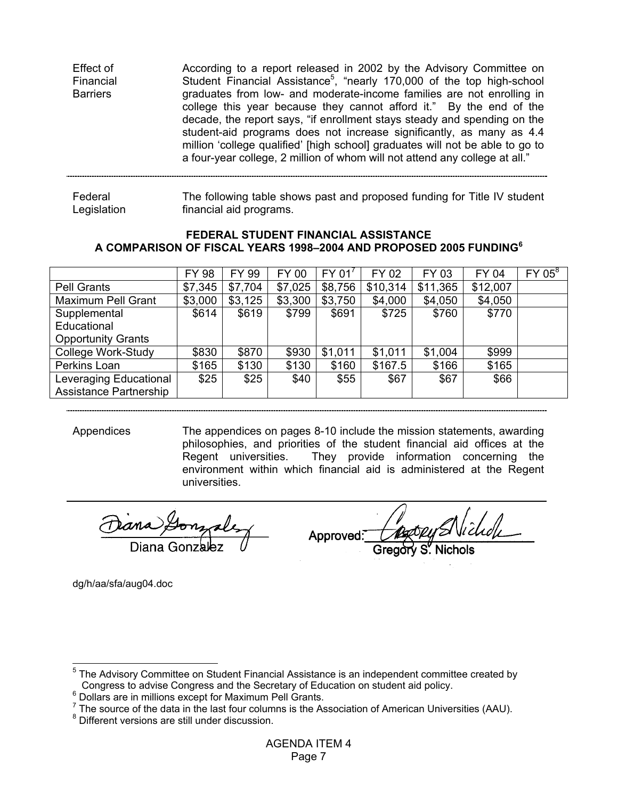| Effect of<br>Financial<br><b>Barriers</b> | According to a report released in 2002 by the Advisory Committee on<br>Student Financial Assistance <sup>5</sup> , "nearly 170,000 of the top high-school<br>graduates from low- and moderate-income families are not enrolling in<br>college this year because they cannot afford it." By the end of the<br>decade, the report says, "if enrollment stays steady and spending on the<br>student-aid programs does not increase significantly, as many as 4.4<br>million 'college qualified' [high school] graduates will not be able to go to<br>a four-year college, 2 million of whom will not attend any college at all." |
|-------------------------------------------|-------------------------------------------------------------------------------------------------------------------------------------------------------------------------------------------------------------------------------------------------------------------------------------------------------------------------------------------------------------------------------------------------------------------------------------------------------------------------------------------------------------------------------------------------------------------------------------------------------------------------------|
|                                           |                                                                                                                                                                                                                                                                                                                                                                                                                                                                                                                                                                                                                               |

Federal Legislation The following table shows past and proposed funding for Title IV student financial aid programs.

#### **FEDERAL STUDENT FINANCIAL ASSISTANCE A COMPARISON OF FISCAL YEARS 1998–2004 AND PROPOSED 2005 FUNDING<sup>6</sup>**

| <b>FY 98</b> | FY 99   | <b>FY 00</b> | $FY$ 01 <sup>7</sup> | FY 02    | FY 03    | <b>FY 04</b> | $FY$ 05 $^8$ |
|--------------|---------|--------------|----------------------|----------|----------|--------------|--------------|
| \$7,345      | \$7,704 | \$7,025      | \$8,756              | \$10,314 | \$11,365 | \$12,007     |              |
| \$3,000      | \$3,125 | \$3,300      | \$3,750              | \$4,000  | \$4,050  | \$4,050      |              |
| \$614        | \$619   | \$799        | \$691                | \$725    | \$760    | \$770        |              |
|              |         |              |                      |          |          |              |              |
|              |         |              |                      |          |          |              |              |
| \$830        | \$870   | \$930        | \$1,011              | \$1,011  | \$1,004  | \$999        |              |
| \$165        | \$130   | \$130        | \$160                | \$167.5  | \$166    | \$165        |              |
| \$25         | \$25    | \$40         | \$55                 | \$67     | \$67     | \$66         |              |
|              |         |              |                      |          |          |              |              |
|              |         |              |                      |          |          |              |              |

Appendices The appendices on pages 8-10 include the mission statements, awarding philosophies, and priorities of the student financial aid offices at the Regent universities. They provide information concerning the environment within which financial aid is administered at the Regent universities.

Diana Gonzalez

Approved: **Nichols** 

dg/h/aa/sfa/aug04.doc

 5 The Advisory Committee on Student Financial Assistance is an independent committee created by Congress to advise Congress and the Secretary of Education on student aid policy. 6

<sup>&</sup>lt;sup>o</sup> Dollars are in millions except for Maximum Pell Grants.<br><sup>7</sup> The source of the data in the last four columns is the Association of American Universities (AAU).<br><sup>8</sup> Different versions are etill under disquesion.

<sup>&</sup>lt;sup>8</sup> Different versions are still under discussion.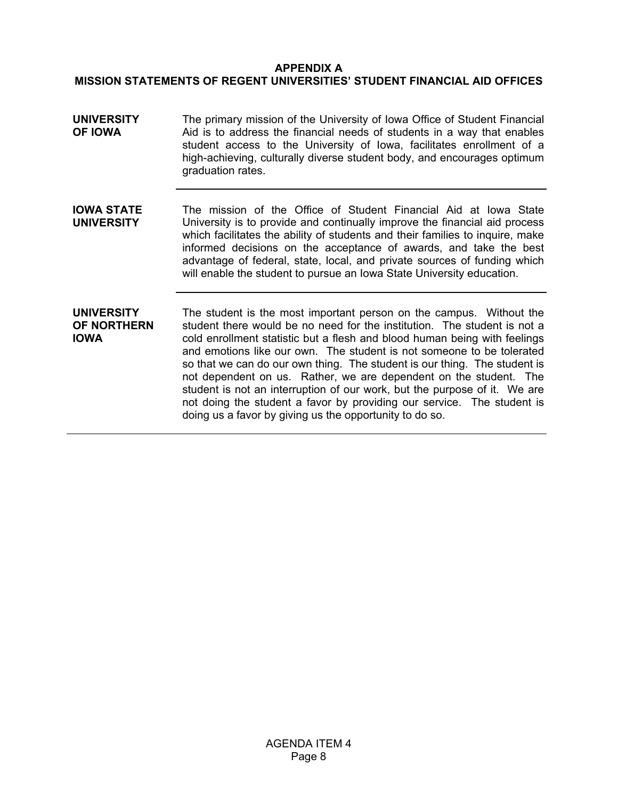# **APPENDIX A MISSION STATEMENTS OF REGENT UNIVERSITIES' STUDENT FINANCIAL AID OFFICES**

| <b>UNIVERSITY</b><br>OF IOWA                    | The primary mission of the University of Iowa Office of Student Financial<br>Aid is to address the financial needs of students in a way that enables<br>student access to the University of Iowa, facilitates enrollment of a<br>high-achieving, culturally diverse student body, and encourages optimum<br>graduation rates.                                                                                                                                                                                                                                                                                                                                             |
|-------------------------------------------------|---------------------------------------------------------------------------------------------------------------------------------------------------------------------------------------------------------------------------------------------------------------------------------------------------------------------------------------------------------------------------------------------------------------------------------------------------------------------------------------------------------------------------------------------------------------------------------------------------------------------------------------------------------------------------|
| <b>IOWA STATE</b><br><b>UNIVERSITY</b>          | The mission of the Office of Student Financial Aid at Iowa State<br>University is to provide and continually improve the financial aid process<br>which facilitates the ability of students and their families to inquire, make<br>informed decisions on the acceptance of awards, and take the best<br>advantage of federal, state, local, and private sources of funding which<br>will enable the student to pursue an Iowa State University education.                                                                                                                                                                                                                 |
| <b>UNIVERSITY</b><br>OF NORTHERN<br><b>IOWA</b> | The student is the most important person on the campus. Without the<br>student there would be no need for the institution. The student is not a<br>cold enrollment statistic but a flesh and blood human being with feelings<br>and emotions like our own. The student is not someone to be tolerated<br>so that we can do our own thing. The student is our thing. The student is<br>not dependent on us. Rather, we are dependent on the student. The<br>student is not an interruption of our work, but the purpose of it. We are<br>not doing the student a favor by providing our service. The student is<br>doing us a favor by giving us the opportunity to do so. |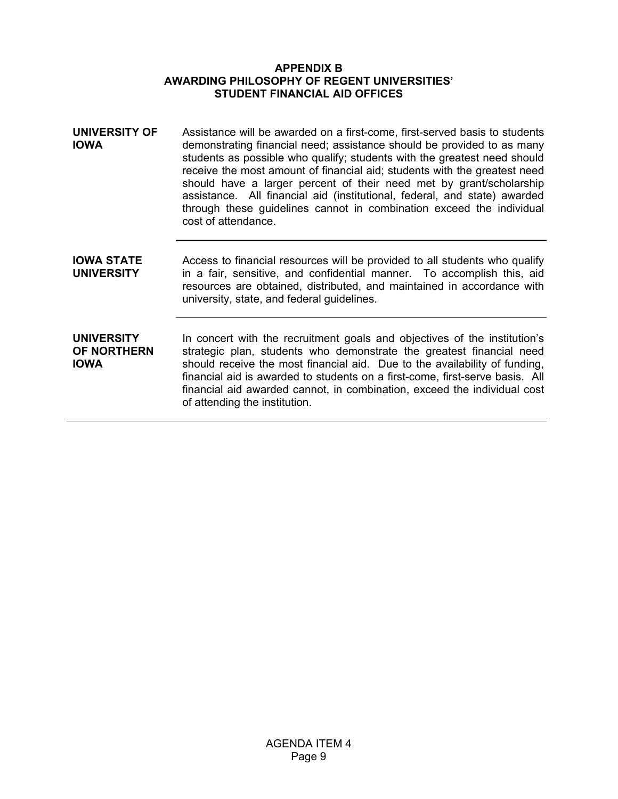### **APPENDIX B AWARDING PHILOSOPHY OF REGENT UNIVERSITIES' STUDENT FINANCIAL AID OFFICES**

**UNIVERSITY OF IOWA**  Assistance will be awarded on a first-come, first-served basis to students demonstrating financial need; assistance should be provided to as many students as possible who qualify; students with the greatest need should receive the most amount of financial aid; students with the greatest need should have a larger percent of their need met by grant/scholarship assistance. All financial aid (institutional, federal, and state) awarded through these guidelines cannot in combination exceed the individual cost of attendance. **IOWA STATE UNIVERSITY**  Access to financial resources will be provided to all students who qualify in a fair, sensitive, and confidential manner. To accomplish this, aid resources are obtained, distributed, and maintained in accordance with university, state, and federal guidelines. **UNIVERSITY OF NORTHERN IOWA** In concert with the recruitment goals and objectives of the institution's strategic plan, students who demonstrate the greatest financial need should receive the most financial aid. Due to the availability of funding, financial aid is awarded to students on a first-come, first-serve basis. All financial aid awarded cannot, in combination, exceed the individual cost

of attending the institution.